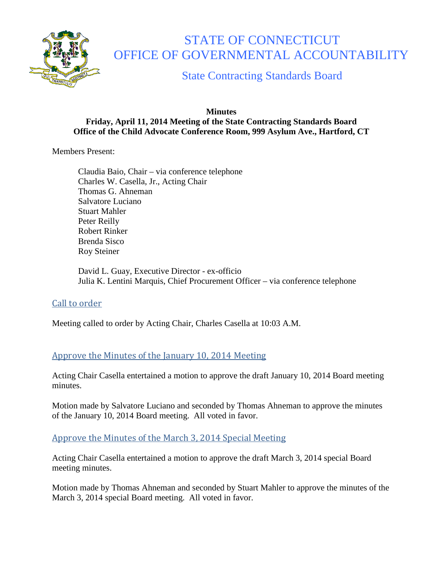

# STATE OF CONNECTICUT OFFICE OF GOVERNMENTAL ACCOUNTABILITY

State Contracting Standards Board

#### **Minutes Friday, April 11, 2014 Meeting of the State Contracting Standards Board Office of the Child Advocate Conference Room, 999 Asylum Ave., Hartford, CT**

Members Present:

Claudia Baio, Chair – via conference telephone Charles W. Casella, Jr., Acting Chair Thomas G. Ahneman Salvatore Luciano Stuart Mahler Peter Reilly Robert Rinker Brenda Sisco Roy Steiner

David L. Guay, Executive Director - ex-officio Julia K. Lentini Marquis, Chief Procurement Officer – via conference telephone

## Call to order

Meeting called to order by Acting Chair, Charles Casella at 10:03 A.M.

## Approve the Minutes of the January 10, 2014 Meeting

Acting Chair Casella entertained a motion to approve the draft January 10, 2014 Board meeting minutes.

Motion made by Salvatore Luciano and seconded by Thomas Ahneman to approve the minutes of the January 10, 2014 Board meeting. All voted in favor.

## Approve the Minutes of the March 3, 2014 Special Meeting

Acting Chair Casella entertained a motion to approve the draft March 3, 2014 special Board meeting minutes.

Motion made by Thomas Ahneman and seconded by Stuart Mahler to approve the minutes of the March 3, 2014 special Board meeting. All voted in favor.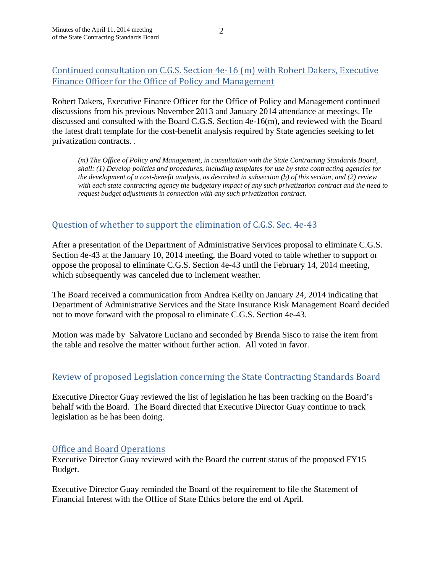## Continued consultation on C.G.S. Section 4e-16 (m) with Robert Dakers, Executive Finance Officer for the Office of Policy and Management

Robert Dakers, Executive Finance Officer for the Office of Policy and Management continued discussions from his previous November 2013 and January 2014 attendance at meetings. He discussed and consulted with the Board C.G.S. Section 4e-16(m), and reviewed with the Board the latest draft template for the cost-benefit analysis required by State agencies seeking to let privatization contracts. .

*(m) The Office of Policy and Management, in consultation with the State Contracting Standards Board, shall: (1) Develop policies and procedures, including templates for use by state contracting agencies for the development of a cost-benefit analysis, as described in subsection (b) of this section, and (2) review with each state contracting agency the budgetary impact of any such privatization contract and the need to request budget adjustments in connection with any such privatization contract.*

## Question of whether to support the elimination of C.G.S. Sec. 4e-43

After a presentation of the Department of Administrative Services proposal to eliminate C.G.S. Section 4e-43 at the January 10, 2014 meeting, the Board voted to table whether to support or oppose the proposal to eliminate C.G.S. Section 4e-43 until the February 14, 2014 meeting, which subsequently was canceled due to inclement weather.

The Board received a communication from Andrea Keilty on January 24, 2014 indicating that Department of Administrative Services and the State Insurance Risk Management Board decided not to move forward with the proposal to eliminate C.G.S. Section 4e-43.

Motion was made by Salvatore Luciano and seconded by Brenda Sisco to raise the item from the table and resolve the matter without further action. All voted in favor.

## Review of proposed Legislation concerning the State Contracting Standards Board

Executive Director Guay reviewed the list of legislation he has been tracking on the Board's behalf with the Board. The Board directed that Executive Director Guay continue to track legislation as he has been doing.

## Office and Board Operations

Executive Director Guay reviewed with the Board the current status of the proposed FY15 Budget.

Executive Director Guay reminded the Board of the requirement to file the Statement of Financial Interest with the Office of State Ethics before the end of April.